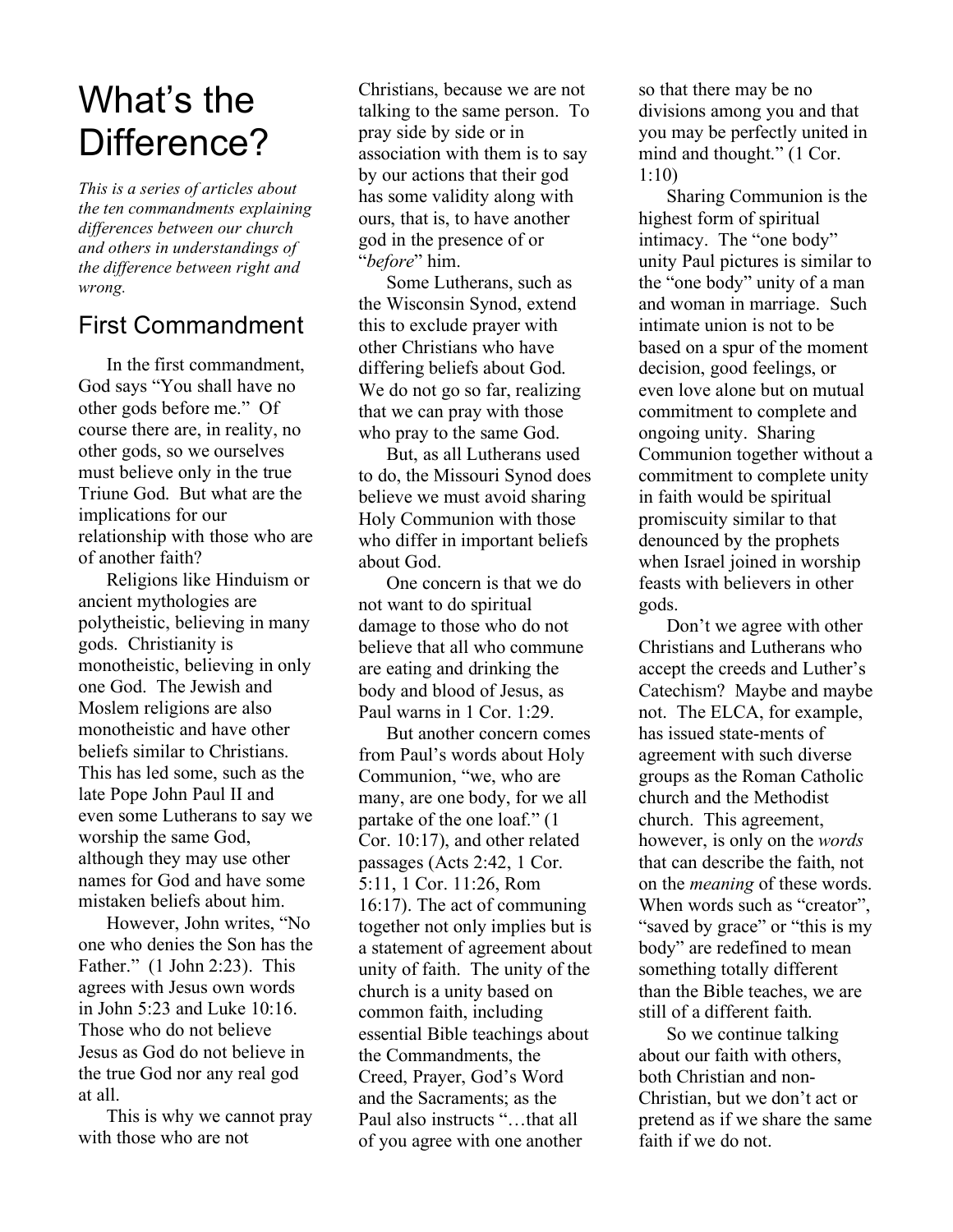# What's the Difference?

*This is a series of articles about the ten commandments explaining differences between our church and others in understandings of the difference between right and wrong.*

## First Commandment

In the first commandment, God says "You shall have no other gods before me." Of course there are, in reality, no other gods, so we ourselves must believe only in the true Triune God. But what are the implications for our relationship with those who are of another faith?

Religions like Hinduism or ancient mythologies are polytheistic, believing in many gods. Christianity is monotheistic, believing in only one God. The Jewish and Moslem religions are also monotheistic and have other beliefs similar to Christians. This has led some, such as the late Pope John Paul II and even some Lutherans to say we worship the same God, although they may use other names for God and have some mistaken beliefs about him.

However, John writes, "No one who denies the Son has the Father." (1 John 2:23). This agrees with Jesus own words in John 5:23 and Luke 10:16. Those who do not believe Jesus as God do not believe in the true God nor any real god at all.

This is why we cannot pray with those who are not

Christians, because we are not talking to the same person. To pray side by side or in association with them is to say by our actions that their god has some validity along with ours, that is, to have another god in the presence of or "*before*" him.

Some Lutherans, such as the Wisconsin Synod, extend this to exclude prayer with other Christians who have differing beliefs about God. We do not go so far, realizing that we can pray with those who pray to the same God.

But, as all Lutherans used to do, the Missouri Synod does believe we must avoid sharing Holy Communion with those who differ in important beliefs about God.

One concern is that we do not want to do spiritual damage to those who do not believe that all who commune are eating and drinking the body and blood of Jesus, as Paul warns in 1 Cor. 1:29.

But another concern comes from Paul's words about Holy Communion, "we, who are many, are one body, for we all partake of the one loaf." (1 Cor. 10:17), and other related passages (Acts 2:42, 1 Cor. 5:11, 1 Cor. 11:26, Rom 16:17). The act of communing together not only implies but is a statement of agreement about unity of faith. The unity of the church is a unity based on common faith, including essential Bible teachings about the Commandments, the Creed, Prayer, God's Word and the Sacraments; as the Paul also instructs "…that all of you agree with one another

so that there may be no divisions among you and that you may be perfectly united in mind and thought." (1 Cor. 1:10)

Sharing Communion is the highest form of spiritual intimacy. The "one body" unity Paul pictures is similar to the "one body" unity of a man and woman in marriage. Such intimate union is not to be based on a spur of the moment decision, good feelings, or even love alone but on mutual commitment to complete and ongoing unity. Sharing Communion together without a commitment to complete unity in faith would be spiritual promiscuity similar to that denounced by the prophets when Israel joined in worship feasts with believers in other gods.

Don't we agree with other Christians and Lutherans who accept the creeds and Luther's Catechism? Maybe and maybe not. The ELCA, for example, has issued state-ments of agreement with such diverse groups as the Roman Catholic church and the Methodist church. This agreement, however, is only on the *words* that can describe the faith, not on the *meaning* of these words. When words such as "creator", "saved by grace" or "this is my" body" are redefined to mean something totally different than the Bible teaches, we are still of a different faith.

So we continue talking about our faith with others, both Christian and non-Christian, but we don't act or pretend as if we share the same faith if we do not.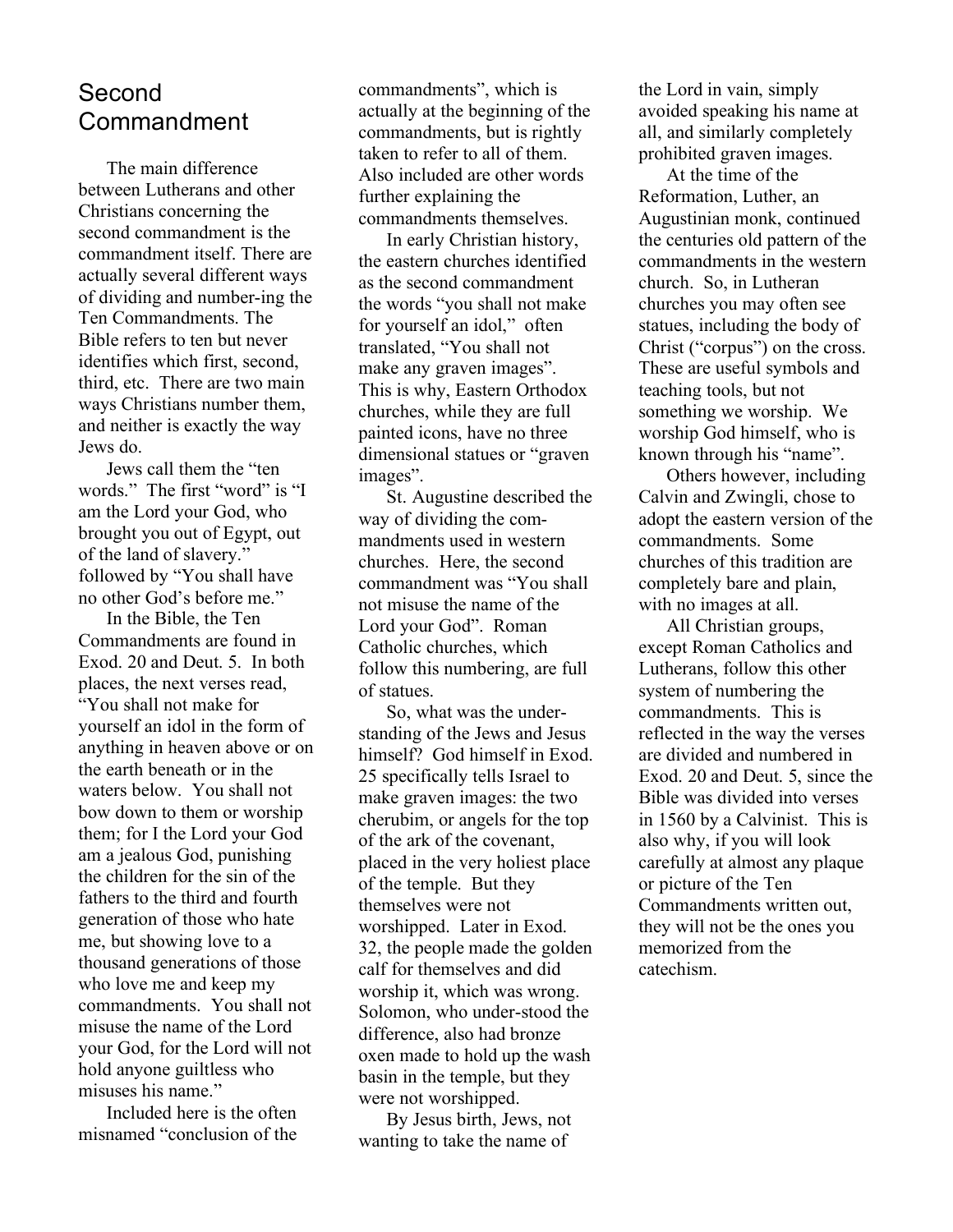## Second Commandment

The main difference between Lutherans and other Christians concerning the second commandment is the commandment itself. There are actually several different ways of dividing and number-ing the Ten Commandments. The Bible refers to ten but never identifies which first, second, third, etc. There are two main ways Christians number them, and neither is exactly the way Jews do.

Jews call them the "ten words." The first "word" is "I am the Lord your God, who brought you out of Egypt, out of the land of slavery." followed by "You shall have no other God's before me."

In the Bible, the Ten Commandments are found in Exod. 20 and Deut. 5. In both places, the next verses read, "You shall not make for yourself an idol in the form of anything in heaven above or on the earth beneath or in the waters below. You shall not bow down to them or worship them; for I the Lord your God am a jealous God, punishing the children for the sin of the fathers to the third and fourth generation of those who hate me, but showing love to a thousand generations of those who love me and keep my commandments. You shall not misuse the name of the Lord your God, for the Lord will not hold anyone guiltless who misuses his name."

Included here is the often misnamed "conclusion of the commandments", which is actually at the beginning of the commandments, but is rightly taken to refer to all of them. Also included are other words further explaining the commandments themselves.

In early Christian history, the eastern churches identified as the second commandment the words "you shall not make for yourself an idol," often translated, "You shall not make any graven images". This is why, Eastern Orthodox churches, while they are full painted icons, have no three dimensional statues or "graven images".

St. Augustine described the way of dividing the commandments used in western churches. Here, the second commandment was "You shall not misuse the name of the Lord your God". Roman Catholic churches, which follow this numbering, are full of statues.

So, what was the understanding of the Jews and Jesus himself? God himself in Exod. 25 specifically tells Israel to make graven images: the two cherubim, or angels for the top of the ark of the covenant, placed in the very holiest place of the temple. But they themselves were not worshipped. Later in Exod. 32, the people made the golden calf for themselves and did worship it, which was wrong. Solomon, who under-stood the difference, also had bronze oxen made to hold up the wash basin in the temple, but they were not worshipped.

By Jesus birth, Jews, not wanting to take the name of

the Lord in vain, simply avoided speaking his name at all, and similarly completely prohibited graven images.

At the time of the Reformation, Luther, an Augustinian monk, continued the centuries old pattern of the commandments in the western church. So, in Lutheran churches you may often see statues, including the body of Christ ("corpus") on the cross. These are useful symbols and teaching tools, but not something we worship. We worship God himself, who is known through his "name".

Others however, including Calvin and Zwingli, chose to adopt the eastern version of the commandments. Some churches of this tradition are completely bare and plain, with no images at all.

All Christian groups, except Roman Catholics and Lutherans, follow this other system of numbering the commandments. This is reflected in the way the verses are divided and numbered in Exod. 20 and Deut. 5, since the Bible was divided into verses in 1560 by a Calvinist. This is also why, if you will look carefully at almost any plaque or picture of the Ten Commandments written out, they will not be the ones you memorized from the catechism.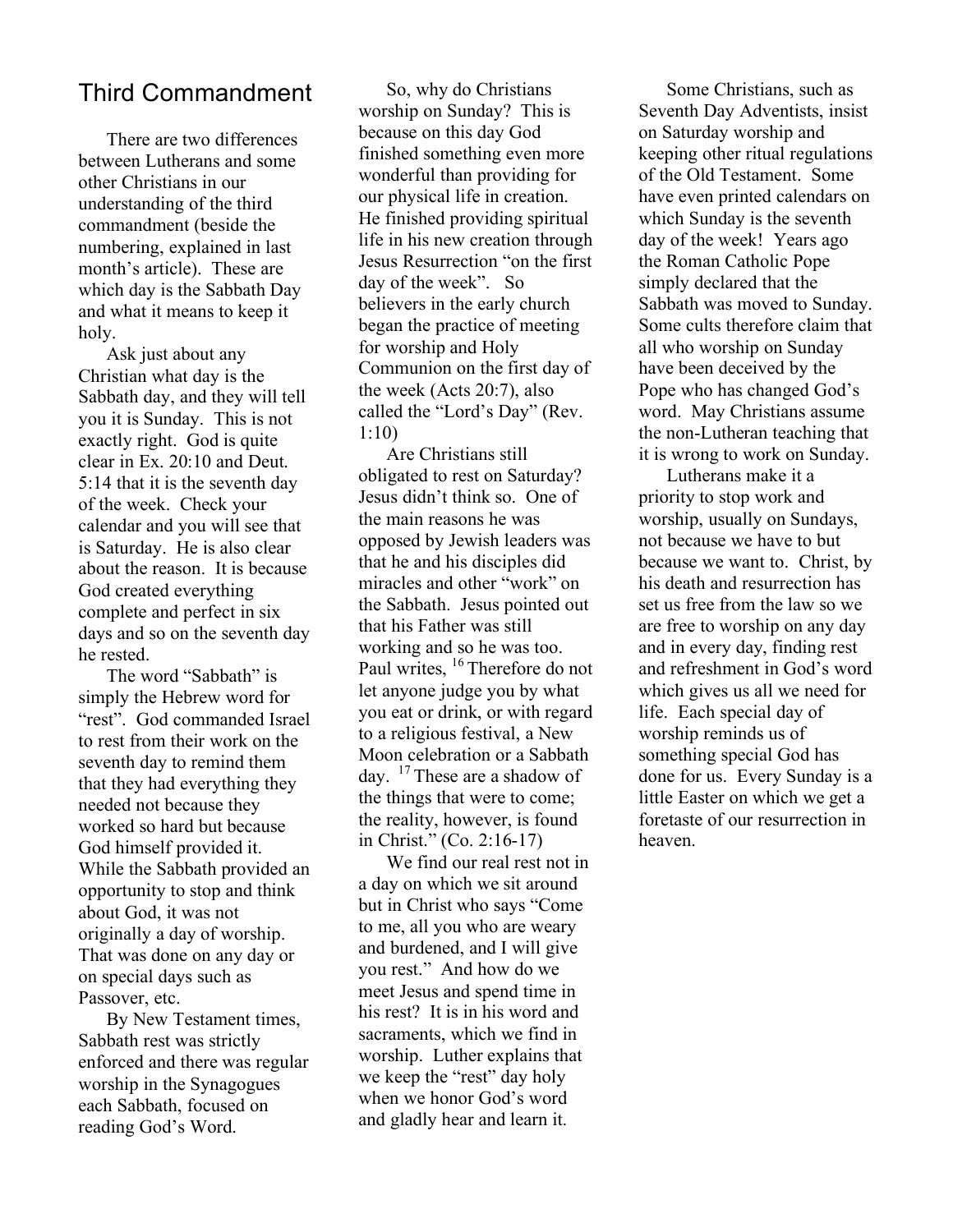#### Third Commandment

There are two differences between Lutherans and some other Christians in our understanding of the third commandment (beside the numbering, explained in last month's article). These are which day is the Sabbath Day and what it means to keep it holy.

Ask just about any Christian what day is the Sabbath day, and they will tell you it is Sunday. This is not exactly right. God is quite clear in Ex. 20:10 and Deut. 5:14 that it is the seventh day of the week. Check your calendar and you will see that is Saturday. He is also clear about the reason. It is because God created everything complete and perfect in six days and so on the seventh day he rested.

The word "Sabbath" is simply the Hebrew word for "rest". God commanded Israel to rest from their work on the seventh day to remind them that they had everything they needed not because they worked so hard but because God himself provided it. While the Sabbath provided an opportunity to stop and think about God, it was not originally a day of worship. That was done on any day or on special days such as Passover, etc.

By New Testament times, Sabbath rest was strictly enforced and there was regular worship in the Synagogues each Sabbath, focused on reading God's Word.

So, why do Christians worship on Sunday? This is because on this day God finished something even more wonderful than providing for our physical life in creation. He finished providing spiritual life in his new creation through Jesus Resurrection "on the first day of the week". So believers in the early church began the practice of meeting for worship and Holy Communion on the first day of the week (Acts 20:7), also called the "Lord's Day" (Rev. 1:10)

Are Christians still obligated to rest on Saturday? Jesus didn't think so. One of the main reasons he was opposed by Jewish leaders was that he and his disciples did miracles and other "work" on the Sabbath. Jesus pointed out that his Father was still working and so he was too. Paul writes, <sup>16</sup> Therefore do not let anyone judge you by what you eat or drink, or with regard to a religious festival, a New Moon celebration or a Sabbath day.  $17$  These are a shadow of the things that were to come; the reality, however, is found in Christ." (Co. 2:16-17)

We find our real rest not in a day on which we sit around but in Christ who says "Come to me, all you who are weary and burdened, and I will give you rest." And how do we meet Jesus and spend time in his rest? It is in his word and sacraments, which we find in worship. Luther explains that we keep the "rest" day holy when we honor God's word and gladly hear and learn it.

Some Christians, such as Seventh Day Adventists, insist on Saturday worship and keeping other ritual regulations of the Old Testament. Some have even printed calendars on which Sunday is the seventh day of the week! Years ago the Roman Catholic Pope simply declared that the Sabbath was moved to Sunday. Some cults therefore claim that all who worship on Sunday have been deceived by the Pope who has changed God's word. May Christians assume the non-Lutheran teaching that it is wrong to work on Sunday.

Lutherans make it a priority to stop work and worship, usually on Sundays, not because we have to but because we want to. Christ, by his death and resurrection has set us free from the law so we are free to worship on any day and in every day, finding rest and refreshment in God's word which gives us all we need for life. Each special day of worship reminds us of something special God has done for us. Every Sunday is a little Easter on which we get a foretaste of our resurrection in heaven.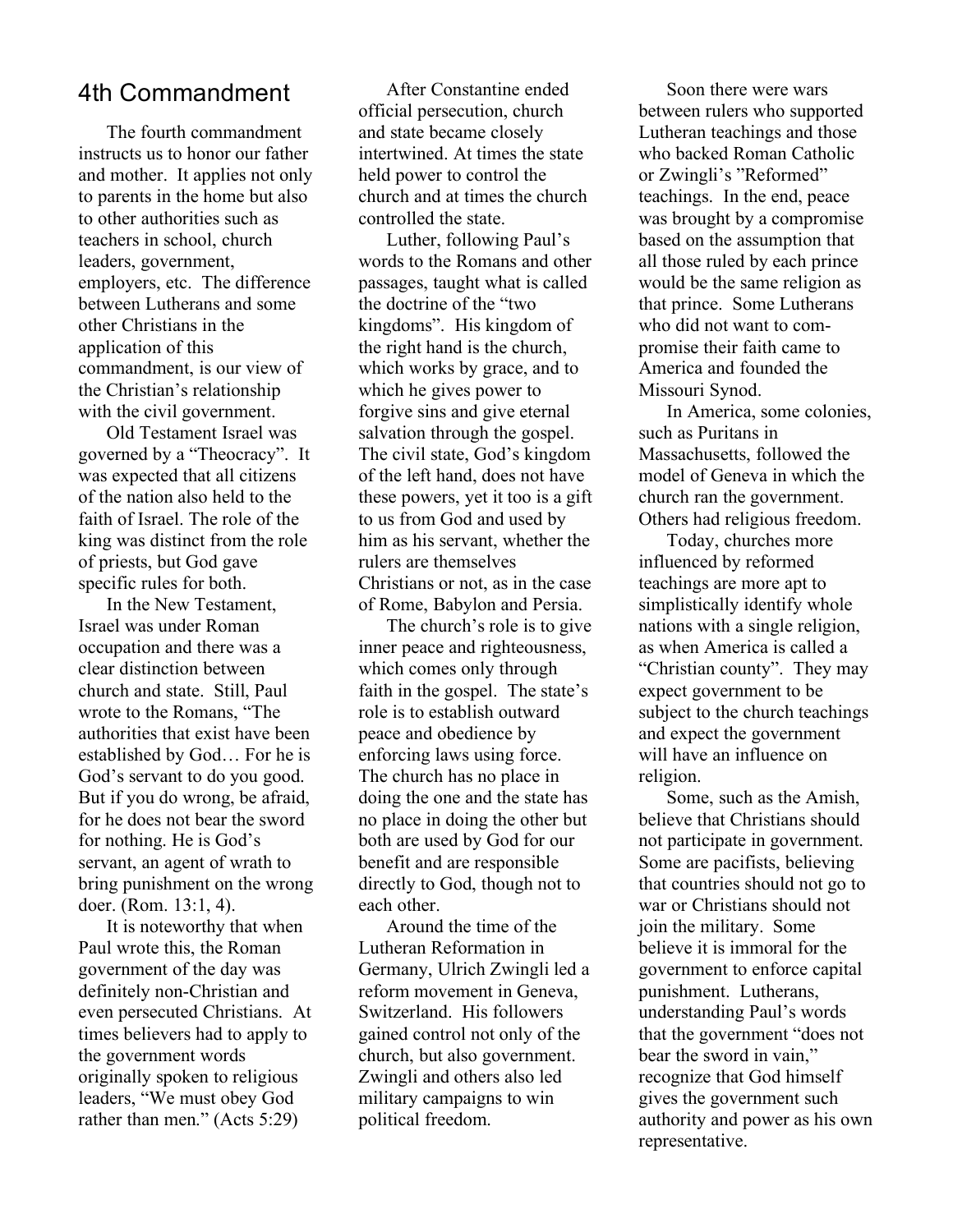#### 4th Commandment

The fourth commandment instructs us to honor our father and mother. It applies not only to parents in the home but also to other authorities such as teachers in school, church leaders, government, employers, etc. The difference between Lutherans and some other Christians in the application of this commandment, is our view of the Christian's relationship with the civil government.

Old Testament Israel was governed by a "Theocracy". It was expected that all citizens of the nation also held to the faith of Israel. The role of the king was distinct from the role of priests, but God gave specific rules for both.

In the New Testament, Israel was under Roman occupation and there was a clear distinction between church and state. Still, Paul wrote to the Romans, "The authorities that exist have been established by God… For he is God's servant to do you good. But if you do wrong, be afraid, for he does not bear the sword for nothing. He is God's servant, an agent of wrath to bring punishment on the wrong doer. (Rom. 13:1, 4).

It is noteworthy that when Paul wrote this, the Roman government of the day was definitely non-Christian and even persecuted Christians. At times believers had to apply to the government words originally spoken to religious leaders, "We must obey God rather than men." (Acts 5:29)

After Constantine ended official persecution, church and state became closely intertwined. At times the state held power to control the church and at times the church controlled the state.

Luther, following Paul's words to the Romans and other passages, taught what is called the doctrine of the "two kingdoms". His kingdom of the right hand is the church, which works by grace, and to which he gives power to forgive sins and give eternal salvation through the gospel. The civil state, God's kingdom of the left hand, does not have these powers, yet it too is a gift to us from God and used by him as his servant, whether the rulers are themselves Christians or not, as in the case of Rome, Babylon and Persia.

The church's role is to give inner peace and righteousness, which comes only through faith in the gospel. The state's role is to establish outward peace and obedience by enforcing laws using force. The church has no place in doing the one and the state has no place in doing the other but both are used by God for our benefit and are responsible directly to God, though not to each other.

Around the time of the Lutheran Reformation in Germany, Ulrich Zwingli led a reform movement in Geneva, Switzerland. His followers gained control not only of the church, but also government. Zwingli and others also led military campaigns to win political freedom.

Soon there were wars between rulers who supported Lutheran teachings and those who backed Roman Catholic or Zwingli's "Reformed" teachings. In the end, peace was brought by a compromise based on the assumption that all those ruled by each prince would be the same religion as that prince. Some Lutherans who did not want to compromise their faith came to America and founded the Missouri Synod.

In America, some colonies, such as Puritans in Massachusetts, followed the model of Geneva in which the church ran the government. Others had religious freedom.

Today, churches more influenced by reformed teachings are more apt to simplistically identify whole nations with a single religion, as when America is called a "Christian county". They may expect government to be subject to the church teachings and expect the government will have an influence on religion.

Some, such as the Amish, believe that Christians should not participate in government. Some are pacifists, believing that countries should not go to war or Christians should not join the military. Some believe it is immoral for the government to enforce capital punishment. Lutherans, understanding Paul's words that the government "does not bear the sword in vain," recognize that God himself gives the government such authority and power as his own representative.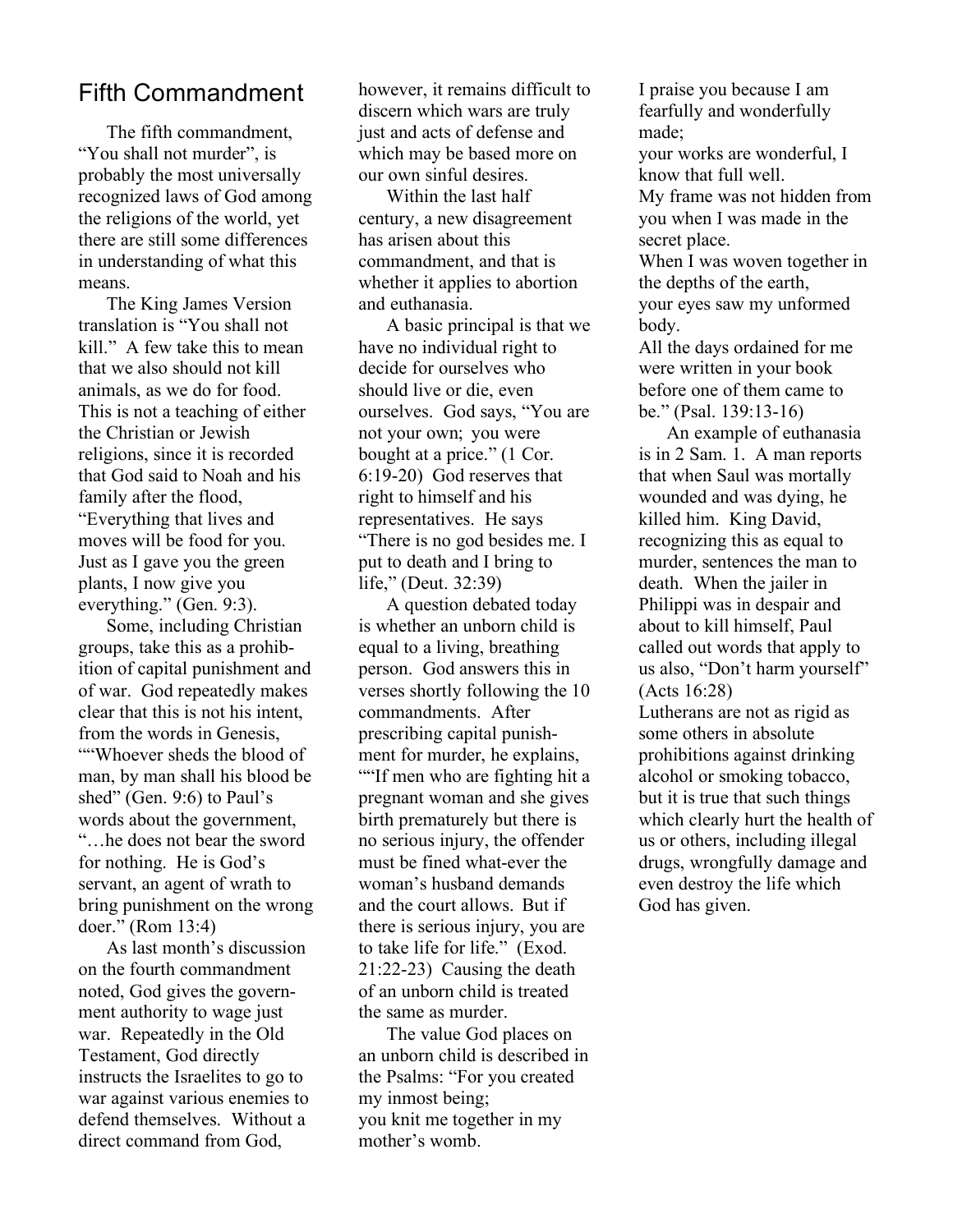### Fifth Commandment

The fifth commandment, "You shall not murder", is probably the most universally recognized laws of God among the religions of the world, yet there are still some differences in understanding of what this means.

The King James Version translation is "You shall not kill." A few take this to mean that we also should not kill animals, as we do for food. This is not a teaching of either the Christian or Jewish religions, since it is recorded that God said to Noah and his family after the flood, "Everything that lives and moves will be food for you. Just as I gave you the green plants, I now give you everything." (Gen. 9:3).

Some, including Christian groups, take this as a prohibition of capital punishment and of war. God repeatedly makes clear that this is not his intent, from the words in Genesis, ""Whoever sheds the blood of man, by man shall his blood be shed" (Gen. 9:6) to Paul's words about the government, "…he does not bear the sword for nothing. He is God's servant, an agent of wrath to bring punishment on the wrong doer." (Rom 13:4)

As last month's discussion on the fourth commandment noted, God gives the government authority to wage just war. Repeatedly in the Old Testament, God directly instructs the Israelites to go to war against various enemies to defend themselves. Without a direct command from God,

however, it remains difficult to discern which wars are truly just and acts of defense and which may be based more on our own sinful desires.

Within the last half century, a new disagreement has arisen about this commandment, and that is whether it applies to abortion and euthanasia.

A basic principal is that we have no individual right to decide for ourselves who should live or die, even ourselves. God says, "You are not your own; you were bought at a price." (1 Cor. 6:19-20) God reserves that right to himself and his representatives. He says "There is no god besides me. I put to death and I bring to life," (Deut. 32:39)

A question debated today is whether an unborn child is equal to a living, breathing person. God answers this in verses shortly following the 10 commandments. After prescribing capital punishment for murder, he explains, ""If men who are fighting hit a pregnant woman and she gives birth prematurely but there is no serious injury, the offender must be fined what-ever the woman's husband demands and the court allows. But if there is serious injury, you are to take life for life." (Exod. 21:22-23) Causing the death of an unborn child is treated the same as murder.

The value God places on an unborn child is described in the Psalms: "For you created my inmost being; you knit me together in my mother's womb.

I praise you because I am fearfully and wonderfully made;

your works are wonderful, I know that full well. My frame was not hidden from you when I was made in the secret place.

When I was woven together in the depths of the earth, your eyes saw my unformed body.

All the days ordained for me were written in your book before one of them came to be." (Psal. 139:13-16)

An example of euthanasia is in 2 Sam. 1. A man reports that when Saul was mortally wounded and was dying, he killed him. King David, recognizing this as equal to murder, sentences the man to death. When the jailer in Philippi was in despair and about to kill himself, Paul called out words that apply to us also, "Don't harm yourself" (Acts 16:28)

Lutherans are not as rigid as some others in absolute prohibitions against drinking alcohol or smoking tobacco, but it is true that such things which clearly hurt the health of us or others, including illegal drugs, wrongfully damage and even destroy the life which God has given.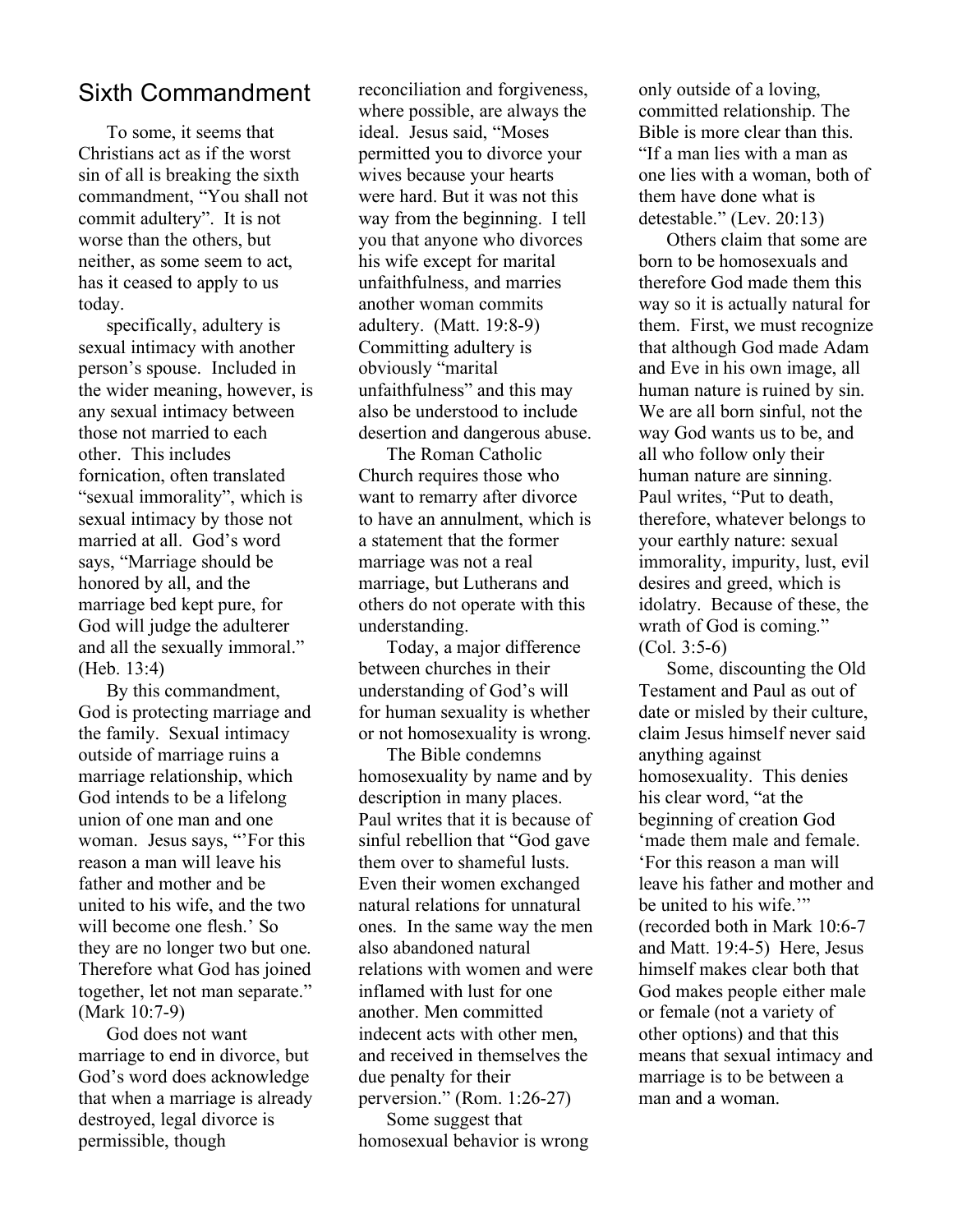#### Sixth Commandment

To some, it seems that Christians act as if the worst sin of all is breaking the sixth commandment, "You shall not commit adultery". It is not worse than the others, but neither, as some seem to act, has it ceased to apply to us today.

specifically, adultery is sexual intimacy with another person's spouse. Included in the wider meaning, however, is any sexual intimacy between those not married to each other. This includes fornication, often translated "sexual immorality", which is sexual intimacy by those not married at all. God's word says, "Marriage should be honored by all, and the marriage bed kept pure, for God will judge the adulterer and all the sexually immoral." (Heb. 13:4)

By this commandment, God is protecting marriage and the family. Sexual intimacy outside of marriage ruins a marriage relationship, which God intends to be a lifelong union of one man and one woman. Jesus says, "'For this reason a man will leave his father and mother and be united to his wife, and the two will become one flesh.' So they are no longer two but one. Therefore what God has joined together, let not man separate." (Mark 10:7-9)

God does not want marriage to end in divorce, but God's word does acknowledge that when a marriage is already destroyed, legal divorce is permissible, though

reconciliation and forgiveness, where possible, are always the ideal. Jesus said, "Moses permitted you to divorce your wives because your hearts were hard. But it was not this way from the beginning. I tell you that anyone who divorces his wife except for marital unfaithfulness, and marries another woman commits adultery. (Matt. 19:8-9) Committing adultery is obviously "marital unfaithfulness" and this may also be understood to include desertion and dangerous abuse.

The Roman Catholic Church requires those who want to remarry after divorce to have an annulment, which is a statement that the former marriage was not a real marriage, but Lutherans and others do not operate with this understanding.

Today, a major difference between churches in their understanding of God's will for human sexuality is whether or not homosexuality is wrong.

The Bible condemns homosexuality by name and by description in many places. Paul writes that it is because of sinful rebellion that "God gave them over to shameful lusts. Even their women exchanged natural relations for unnatural ones. In the same way the men also abandoned natural relations with women and were inflamed with lust for one another. Men committed indecent acts with other men, and received in themselves the due penalty for their perversion." (Rom. 1:26-27) Some suggest that homosexual behavior is wrong

only outside of a loving, committed relationship. The Bible is more clear than this. "If a man lies with a man as one lies with a woman, both of them have done what is detestable." (Lev. 20:13)

Others claim that some are born to be homosexuals and therefore God made them this way so it is actually natural for them. First, we must recognize that although God made Adam and Eve in his own image, all human nature is ruined by sin. We are all born sinful, not the way God wants us to be, and all who follow only their human nature are sinning. Paul writes, "Put to death, therefore, whatever belongs to your earthly nature: sexual immorality, impurity, lust, evil desires and greed, which is idolatry. Because of these, the wrath of God is coming." (Col. 3:5-6)

Some, discounting the Old Testament and Paul as out of date or misled by their culture, claim Jesus himself never said anything against homosexuality. This denies his clear word, "at the beginning of creation God 'made them male and female. 'For this reason a man will leave his father and mother and be united to his wife.'" (recorded both in Mark 10:6-7 and Matt. 19:4-5) Here, Jesus himself makes clear both that God makes people either male or female (not a variety of other options) and that this means that sexual intimacy and marriage is to be between a man and a woman.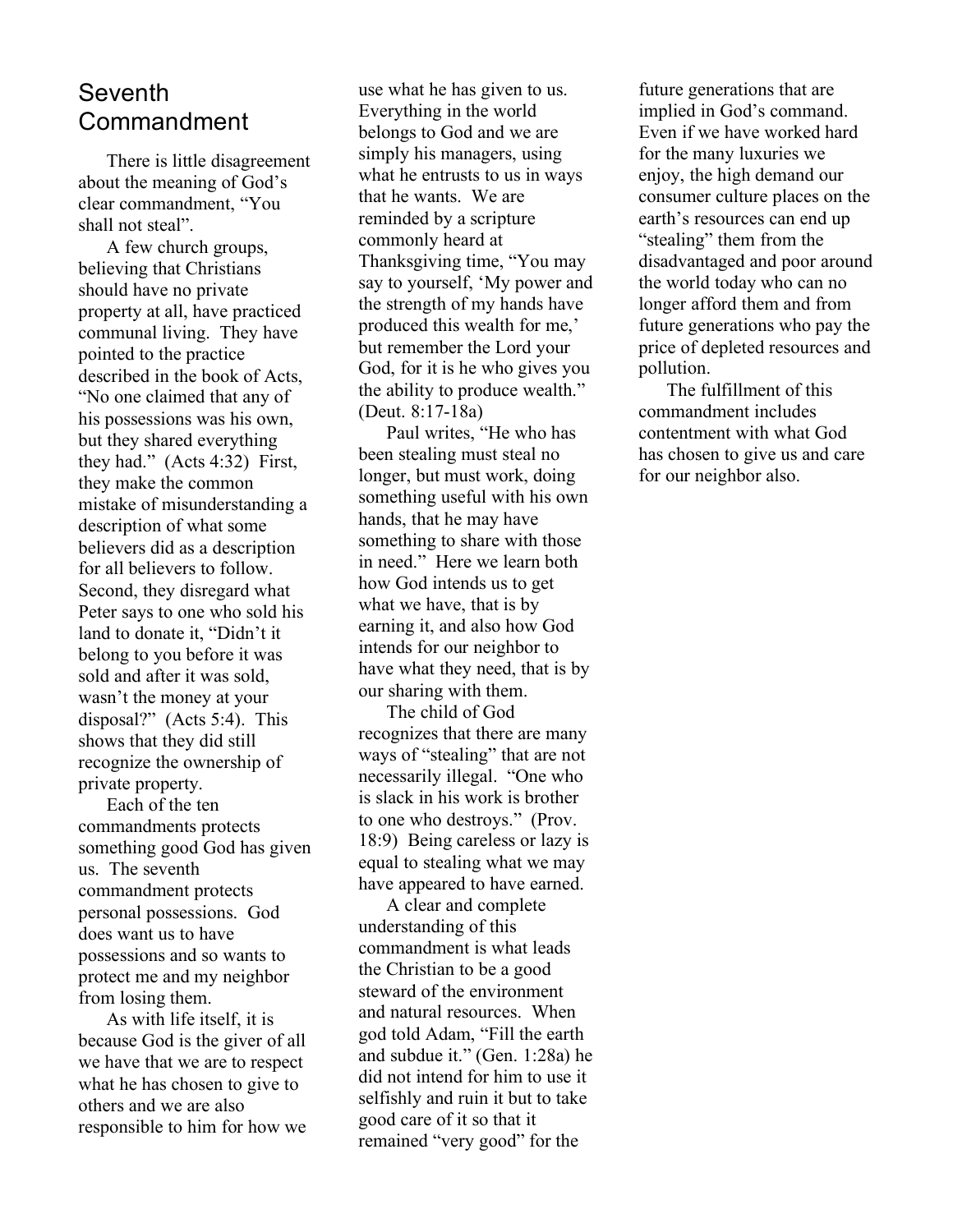## **Seventh** Commandment

There is little disagreement about the meaning of God's clear commandment, "You shall not steal".

A few church groups, believing that Christians should have no private property at all, have practiced communal living. They have pointed to the practice described in the book of Acts, "No one claimed that any of his possessions was his own, but they shared everything they had." (Acts 4:32) First, they make the common mistake of misunderstanding a description of what some believers did as a description for all believers to follow. Second, they disregard what Peter says to one who sold his land to donate it, "Didn't it belong to you before it was sold and after it was sold, wasn't the money at your disposal?" (Acts 5:4). This shows that they did still recognize the ownership of private property.

Each of the ten commandments protects something good God has given us. The seventh commandment protects personal possessions. God does want us to have possessions and so wants to protect me and my neighbor from losing them.

As with life itself, it is because God is the giver of all we have that we are to respect what he has chosen to give to others and we are also responsible to him for how we

use what he has given to us. Everything in the world belongs to God and we are simply his managers, using what he entrusts to us in ways that he wants. We are reminded by a scripture commonly heard at Thanksgiving time, "You may say to yourself, 'My power and the strength of my hands have produced this wealth for me,' but remember the Lord your God, for it is he who gives you the ability to produce wealth." (Deut. 8:17-18a)

Paul writes, "He who has been stealing must steal no longer, but must work, doing something useful with his own hands, that he may have something to share with those in need." Here we learn both how God intends us to get what we have, that is by earning it, and also how God intends for our neighbor to have what they need, that is by our sharing with them.

The child of God recognizes that there are many ways of "stealing" that are not necessarily illegal. "One who is slack in his work is brother to one who destroys." (Prov. 18:9) Being careless or lazy is equal to stealing what we may have appeared to have earned.

A clear and complete understanding of this commandment is what leads the Christian to be a good steward of the environment and natural resources. When god told Adam, "Fill the earth and subdue it." (Gen. 1:28a) he did not intend for him to use it selfishly and ruin it but to take good care of it so that it remained "very good" for the

future generations that are implied in God's command. Even if we have worked hard for the many luxuries we enjoy, the high demand our consumer culture places on the earth's resources can end up "stealing" them from the disadvantaged and poor around the world today who can no longer afford them and from future generations who pay the price of depleted resources and pollution.

The fulfillment of this commandment includes contentment with what God has chosen to give us and care for our neighbor also.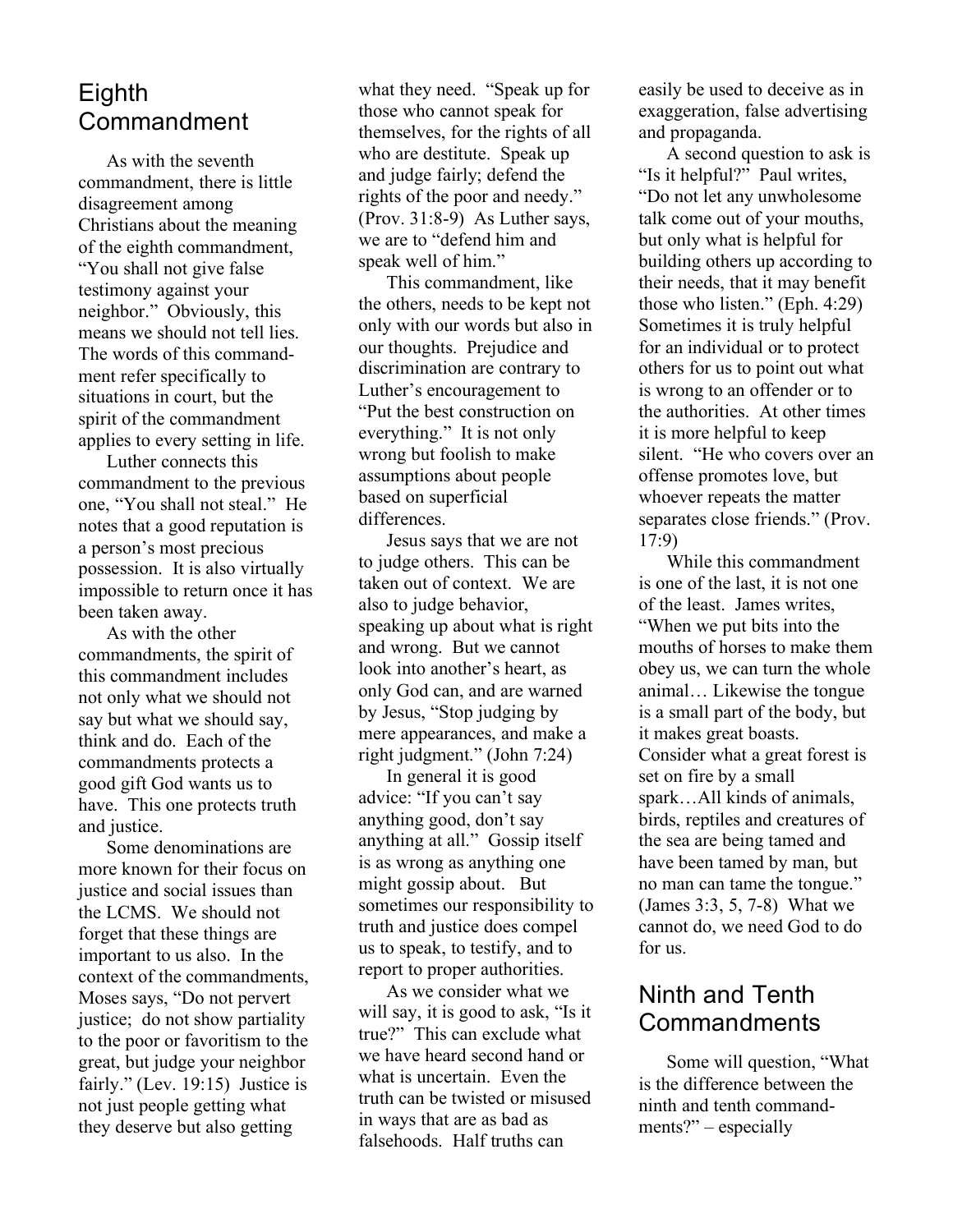# Eighth Commandment

As with the seventh commandment, there is little disagreement among Christians about the meaning of the eighth commandment, "You shall not give false testimony against your neighbor." Obviously, this means we should not tell lies. The words of this commandment refer specifically to situations in court, but the spirit of the commandment applies to every setting in life.

Luther connects this commandment to the previous one, "You shall not steal." He notes that a good reputation is a person's most precious possession. It is also virtually impossible to return once it has been taken away.

As with the other commandments, the spirit of this commandment includes not only what we should not say but what we should say, think and do. Each of the commandments protects a good gift God wants us to have. This one protects truth and justice.

Some denominations are more known for their focus on justice and social issues than the LCMS. We should not forget that these things are important to us also. In the context of the commandments, Moses says, "Do not pervert justice; do not show partiality to the poor or favoritism to the great, but judge your neighbor fairly." (Lev. 19:15) Justice is not just people getting what they deserve but also getting

what they need. "Speak up for those who cannot speak for themselves, for the rights of all who are destitute. Speak up and judge fairly; defend the rights of the poor and needy." (Prov. 31:8-9) As Luther says, we are to "defend him and speak well of him."

This commandment, like the others, needs to be kept not only with our words but also in our thoughts. Prejudice and discrimination are contrary to Luther's encouragement to "Put the best construction on everything." It is not only wrong but foolish to make assumptions about people based on superficial differences.

Jesus says that we are not to judge others. This can be taken out of context. We are also to judge behavior, speaking up about what is right and wrong. But we cannot look into another's heart, as only God can, and are warned by Jesus, "Stop judging by mere appearances, and make a right judgment." (John 7:24)

In general it is good advice: "If you can't say anything good, don't say anything at all." Gossip itself is as wrong as anything one might gossip about. But sometimes our responsibility to truth and justice does compel us to speak, to testify, and to report to proper authorities.

As we consider what we will say, it is good to ask, "Is it true?" This can exclude what we have heard second hand or what is uncertain. Even the truth can be twisted or misused in ways that are as bad as falsehoods. Half truths can

easily be used to deceive as in exaggeration, false advertising and propaganda.

A second question to ask is "Is it helpful?" Paul writes, "Do not let any unwholesome talk come out of your mouths, but only what is helpful for building others up according to their needs, that it may benefit those who listen." (Eph. 4:29) Sometimes it is truly helpful for an individual or to protect others for us to point out what is wrong to an offender or to the authorities. At other times it is more helpful to keep silent. "He who covers over an offense promotes love, but whoever repeats the matter separates close friends." (Prov. 17:9)

While this commandment is one of the last, it is not one of the least. James writes, "When we put bits into the mouths of horses to make them obey us, we can turn the whole animal… Likewise the tongue is a small part of the body, but it makes great boasts. Consider what a great forest is set on fire by a small spark…All kinds of animals, birds, reptiles and creatures of the sea are being tamed and have been tamed by man, but no man can tame the tongue." (James 3:3, 5, 7-8) What we cannot do, we need God to do for us.

## Ninth and Tenth Commandments

Some will question, "What is the difference between the ninth and tenth commandments?" – especially